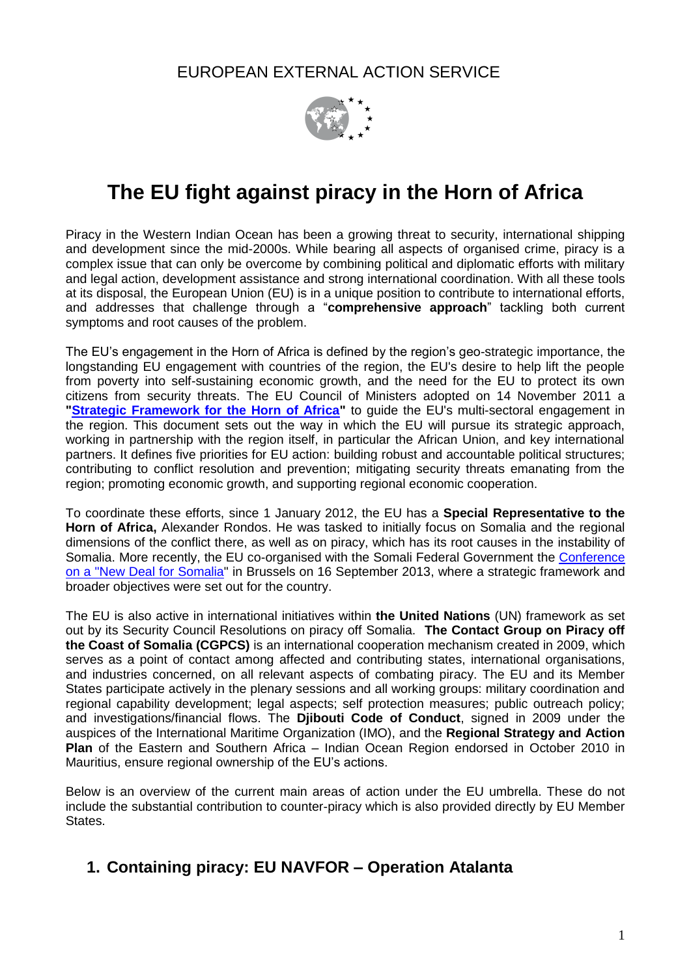EUROPEAN EXTERNAL ACTION SERVICE



# **The EU fight against piracy in the Horn of Africa**

Piracy in the Western Indian Ocean has been a growing threat to security, international shipping and development since the mid-2000s. While bearing all aspects of organised crime, piracy is a complex issue that can only be overcome by combining political and diplomatic efforts with military and legal action, development assistance and strong international coordination. With all these tools at its disposal, the European Union (EU) is in a unique position to contribute to international efforts, and addresses that challenge through a "**comprehensive approach**" tackling both current symptoms and root causes of the problem.

The EU's engagement in the Horn of Africa is defined by the region's geo-strategic importance, the longstanding EU engagement with countries of the region, the EU's desire to help lift the people from poverty into self-sustaining economic growth, and the need for the EU to protect its own citizens from security threats. The EU Council of Ministers adopted on 14 November 2011 a ["Strategic Framework for the Horn of Africa"](http://www.consilium.europa.eu/uedocs/cms_data/docs/pressdata/EN/foraff/126052.pdf) to guide the EU's multi-sectoral engagement in the region. This document sets out the way in which the EU will pursue its strategic approach, working in partnership with the region itself, in particular the African Union, and key international partners. It defines five priorities for EU action: building robust and accountable political structures; contributing to conflict resolution and prevention; mitigating security threats emanating from the region; promoting economic growth, and supporting regional economic cooperation.

To coordinate these efforts, since 1 January 2012, the EU has a **Special Representative to the Horn of Africa,** Alexander Rondos. He was tasked to initially focus on Somalia and the regional dimensions of the conflict there, as well as on piracy, which has its root causes in the instability of Somalia. More recently, the EU co-organised with the Somali Federal Government the [Conference](http://www.somalia-newdeal-conference.eu/)  [on a "New Deal for Somalia"](http://www.somalia-newdeal-conference.eu/) in Brussels on 16 September 2013, where a strategic framework and broader objectives were set out for the country.

The EU is also active in international initiatives within **the United Nations** (UN) framework as set out by its Security Council Resolutions on piracy off Somalia. **The Contact Group on Piracy off the Coast of Somalia (CGPCS)** is an international cooperation mechanism created in 2009, which serves as a point of contact among affected and contributing states, international organisations, and industries concerned, on all relevant aspects of combating piracy. The EU and its Member States participate actively in the plenary sessions and all working groups: military coordination and regional capability development; legal aspects; self protection measures; public outreach policy; and investigations/financial flows. The **Djibouti Code of Conduct**, signed in 2009 under the auspices of the International Maritime Organization (IMO), and the **Regional Strategy and Action Plan** of the Eastern and Southern Africa – Indian Ocean Region endorsed in October 2010 in Mauritius, ensure regional ownership of the EU's actions.

Below is an overview of the current main areas of action under the EU umbrella. These do not include the substantial contribution to counter-piracy which is also provided directly by EU Member States.

# **1. Containing piracy: EU NAVFOR – Operation Atalanta**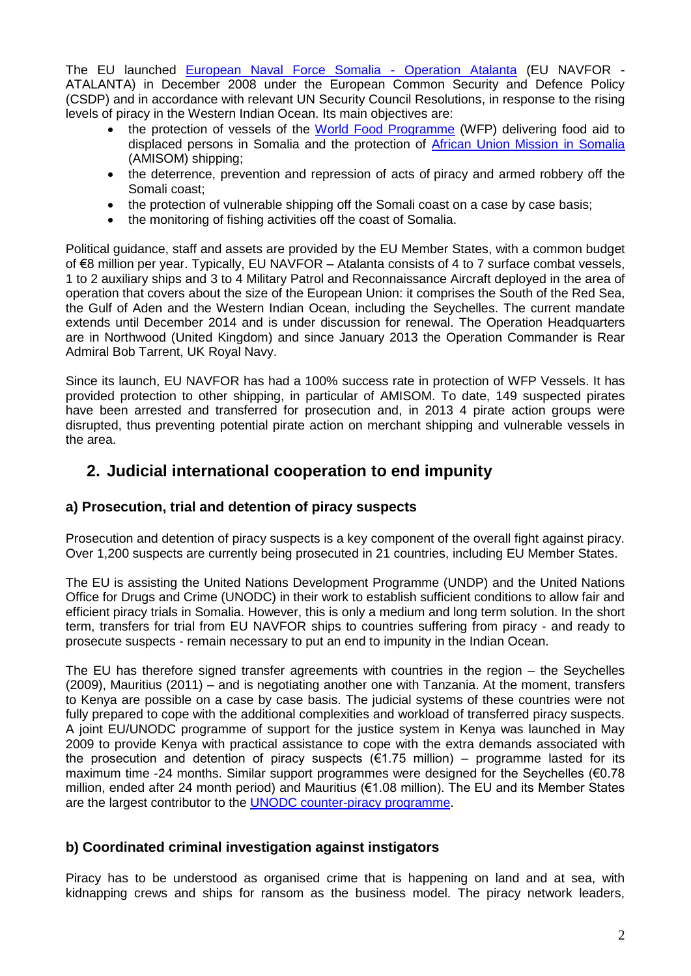The EU launched [European Naval Force Somalia -](http://www.eunavfor.eu/) Operation Atalanta (EU NAVFOR - ATALANTA) in December 2008 under the European Common Security and Defence Policy (CSDP) and in accordance with relevant UN Security Council Resolutions, in response to the rising levels of piracy in the Western Indian Ocean. Its main objectives are:

- the protection of vessels of the [World Food Programme](http://www.wfp.org/) (WFP) delivering food aid to displaced persons in Somalia and the protection of [African Union Mission in](http://www.africa-union.org/root/au/auc/departments/psc/amisom/amisom.htm) Somalia (AMISOM) shipping;
- the deterrence, prevention and repression of acts of piracy and armed robbery off the Somali coast;
- the protection of vulnerable shipping off the Somali coast on a case by case basis;
- the monitoring of fishing activities off the coast of Somalia.

Political guidance, staff and assets are provided by the EU Member States, with a common budget of €8 million per year. Typically, EU NAVFOR – Atalanta consists of 4 to 7 surface combat vessels, 1 to 2 auxiliary ships and 3 to 4 Military Patrol and Reconnaissance Aircraft deployed in the area of operation that covers about the size of the European Union: it comprises the South of the Red Sea, the Gulf of Aden and the Western Indian Ocean, including the Seychelles. The current mandate extends until December 2014 and is under discussion for renewal. The Operation Headquarters are in Northwood (United Kingdom) and since January 2013 the Operation Commander is Rear Admiral Bob Tarrent, UK Royal Navy.

Since its launch, EU NAVFOR has had a 100% success rate in protection of WFP Vessels. It has provided protection to other shipping, in particular of AMISOM. To date, 149 suspected pirates have been arrested and transferred for prosecution and, in 2013 4 pirate action groups were disrupted, thus preventing potential pirate action on merchant shipping and vulnerable vessels in the area.

# **2. Judicial international cooperation to end impunity**

### **a) Prosecution, trial and detention of piracy suspects**

Prosecution and detention of piracy suspects is a key component of the overall fight against piracy. Over 1,200 suspects are currently being prosecuted in 21 countries, including EU Member States.

The EU is assisting the United Nations Development Programme (UNDP) and the United Nations Office for Drugs and Crime (UNODC) in their work to establish sufficient conditions to allow fair and efficient piracy trials in Somalia. However, this is only a medium and long term solution. In the short term, transfers for trial from EU NAVFOR ships to countries suffering from piracy - and ready to prosecute suspects - remain necessary to put an end to impunity in the Indian Ocean.

The EU has therefore signed transfer agreements with countries in the region – the Seychelles (2009), Mauritius (2011) – and is negotiating another one with Tanzania. At the moment, transfers to Kenya are possible on a case by case basis. The judicial systems of these countries were not fully prepared to cope with the additional complexities and workload of transferred piracy suspects. A joint EU/UNODC programme of support for the justice system in Kenya was launched in May 2009 to provide Kenya with practical assistance to cope with the extra demands associated with the prosecution and detention of piracy suspects  $(\epsilon 1.75 \text{ million})$  – programme lasted for its maximum time -24 months. Similar support programmes were designed for the Seychelles (€0.78 million, ended after 24 month period) and Mauritius (€1.08 million). The EU and its Member States are the largest contributor to the **UNODC** counter-piracy programme.

### **b) Coordinated criminal investigation against instigators**

Piracy has to be understood as organised crime that is happening on land and at sea, with kidnapping crews and ships for ransom as the business model. The piracy network leaders,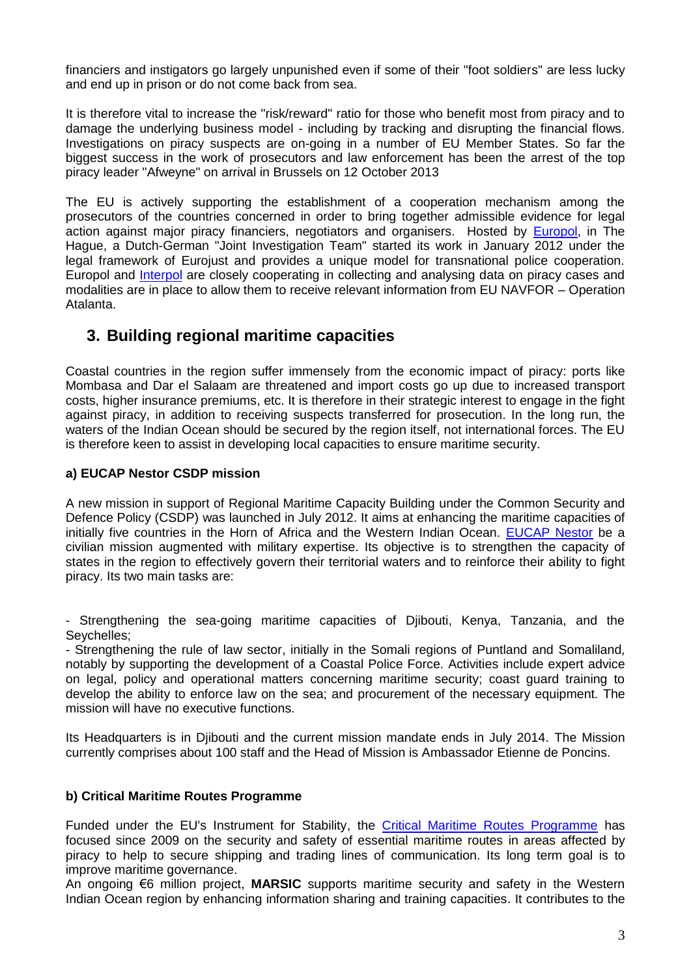financiers and instigators go largely unpunished even if some of their "foot soldiers" are less lucky and end up in prison or do not come back from sea.

It is therefore vital to increase the "risk/reward" ratio for those who benefit most from piracy and to damage the underlying business model - including by tracking and disrupting the financial flows. Investigations on piracy suspects are on-going in a number of EU Member States. So far the biggest success in the work of prosecutors and law enforcement has been the arrest of the top piracy leader "Afweyne" on arrival in Brussels on 12 October 2013

The EU is actively supporting the establishment of a cooperation mechanism among the prosecutors of the countries concerned in order to bring together admissible evidence for legal action against major piracy financiers, negotiators and organisers. Hosted by [Europol,](https://www.europol.europa.eu/content/press/joint-efforts-against-maritime-piracy-643) in The Hague, a Dutch-German "Joint Investigation Team" started its work in January 2012 under the legal framework of Eurojust and provides a unique model for transnational police cooperation. Europol and [Interpol](http://www.interpol.int/Crime-areas/Maritime-piracy/Maritime-piracy) are closely cooperating in collecting and analysing data on piracy cases and modalities are in place to allow them to receive relevant information from EU NAVFOR – Operation Atalanta.

# **3. Building regional maritime capacities**

Coastal countries in the region suffer immensely from the economic impact of piracy: ports like Mombasa and Dar el Salaam are threatened and import costs go up due to increased transport costs, higher insurance premiums, etc. It is therefore in their strategic interest to engage in the fight against piracy, in addition to receiving suspects transferred for prosecution. In the long run, the waters of the Indian Ocean should be secured by the region itself, not international forces. The EU is therefore keen to assist in developing local capacities to ensure maritime security.

#### **a) EUCAP Nestor CSDP mission**

A new mission in support of Regional Maritime Capacity Building under the Common Security and Defence Policy (CSDP) was launched in July 2012. It aims at enhancing the maritime capacities of initially five countries in the Horn of Africa and the Western Indian Ocean. [EUCAP Nestor](http://consilium.europa.eu/media/1617222/factsheet__eucap_nestor_en_.pdf) be a civilian mission augmented with military expertise. Its objective is to strengthen the capacity of states in the region to effectively govern their territorial waters and to reinforce their ability to fight piracy. Its two main tasks are:

- Strengthening the sea-going maritime capacities of Djibouti, Kenya, Tanzania, and the Seychelles;

- Strengthening the rule of law sector, initially in the Somali regions of Puntland and Somaliland, notably by supporting the development of a Coastal Police Force. Activities include expert advice on legal, policy and operational matters concerning maritime security; coast guard training to develop the ability to enforce law on the sea; and procurement of the necessary equipment. The mission will have no executive functions.

Its Headquarters is in Djibouti and the current mission mandate ends in July 2014. The Mission currently comprises about 100 staff and the Head of Mission is Ambassador Etienne de Poncins.

### **b) Critical Maritime Routes Programme**

Funded under the EU's Instrument for Stability, the [Critical Maritime Routes Programme](http://ec.europa.eu/europeaid/infopoint/publications/europeaid/documents/207a_en.pdf) has focused since 2009 on the security and safety of essential maritime routes in areas affected by piracy to help to secure shipping and trading lines of communication. Its long term goal is to improve maritime governance.

An ongoing €6 million project, **MARSIC** supports maritime security and safety in the Western Indian Ocean region by enhancing information sharing and training capacities. It contributes to the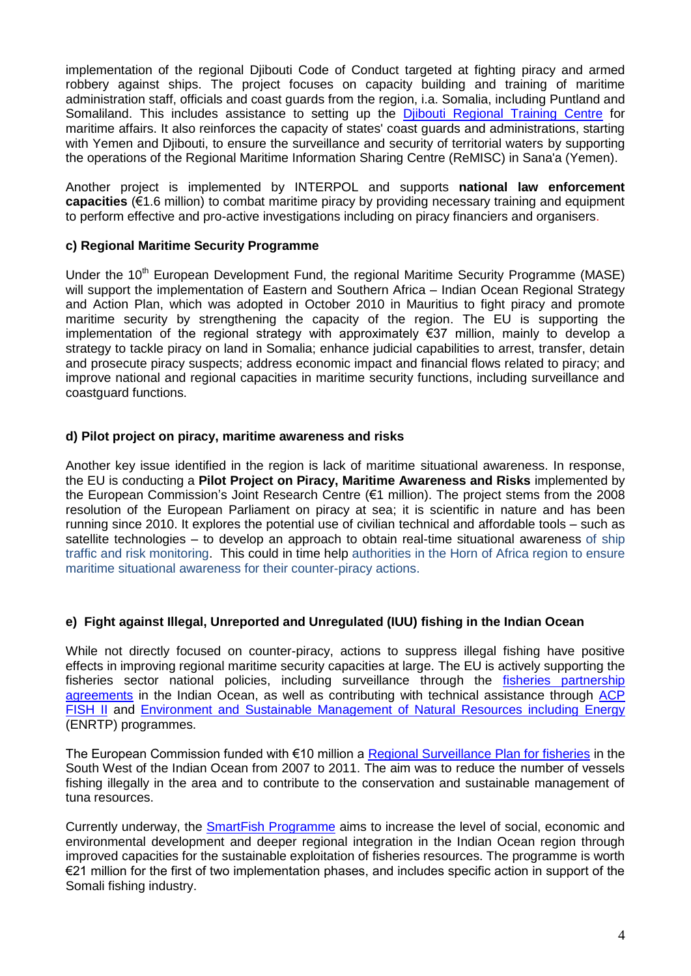implementation of the regional Djibouti Code of Conduct targeted at fighting piracy and armed robbery against ships. The project focuses on capacity building and training of maritime administration staff, officials and coast guards from the region, i.a. Somalia, including Puntland and Somaliland. This includes assistance to setting up the [Djibouti Regional Training Centre](http://www.edumar.org/) for maritime affairs. It also reinforces the capacity of states' coast guards and administrations, starting with Yemen and Djibouti, to ensure the surveillance and security of territorial waters by supporting the operations of the Regional Maritime Information Sharing Centre (ReMISC) in Sana'a (Yemen).

Another project is implemented by INTERPOL and supports **national law enforcement capacities** (€1.6 million) to combat maritime piracy by providing necessary training and equipment to perform effective and pro-active investigations including on piracy financiers and organisers.

#### **c) Regional Maritime Security Programme**

Under the 10<sup>th</sup> European Development Fund, the regional Maritime Security Programme (MASE) will support the implementation of Eastern and Southern Africa – Indian Ocean Regional Strategy and Action Plan, which was adopted in October 2010 in Mauritius to fight piracy and promote maritime security by strengthening the capacity of the region. The EU is supporting the implementation of the regional strategy with approximately €37 million, mainly to develop a strategy to tackle piracy on land in Somalia; enhance judicial capabilities to arrest, transfer, detain and prosecute piracy suspects; address economic impact and financial flows related to piracy; and improve national and regional capacities in maritime security functions, including surveillance and coastguard functions.

#### **d) Pilot project on piracy, maritime awareness and risks**

Another key issue identified in the region is lack of maritime situational awareness. In response, the EU is conducting a **Pilot Project on Piracy, Maritime Awareness and Risks** implemented by the European Commission's Joint Research Centre (€1 million). The project stems from the 2008 resolution of the European Parliament on piracy at sea; it is scientific in nature and has been running since 2010. It explores the potential use of civilian technical and affordable tools – such as satellite technologies – to develop an approach to obtain real-time situational awareness of ship traffic and risk monitoring. This could in time help authorities in the Horn of Africa region to ensure maritime situational awareness for their counter-piracy actions.

### **e) Fight against Illegal, Unreported and Unregulated (IUU) fishing in the Indian Ocean**

While not directly focused on counter-piracy, actions to suppress illegal fishing have positive effects in improving regional maritime security capacities at large. The EU is actively supporting the fisheries sector national policies, including surveillance through the [fisheries partnership](http://ec.europa.eu/fisheries/cfp/international/agreements/index_en.htm)  [agreements](http://ec.europa.eu/fisheries/cfp/international/agreements/index_en.htm) in the Indian Ocean, as well as contributing with technical assistance through ACP [FISH II](http://www.acpfish2-eu.org/) and [Environment and Sustainable Management of Natural Resources including Energy](http://ec.europa.eu/europeaid/how/finance/dci/environment_en.htm) (ENRTP) programmes.

The European Commission funded with €10 million a [Regional Surveillance Plan for fisheries](http://www.coi-ioc.org/index.php?id=162) in the South West of the Indian Ocean from 2007 to 2011. The aim was to reduce the number of vessels fishing illegally in the area and to contribute to the conservation and sustainable management of tuna resources.

Currently underway, the [SmartFish Programme](http://www.smartfish-ioc.org/#!programme) aims to increase the level of social, economic and environmental development and deeper regional integration in the Indian Ocean region through improved capacities for the sustainable exploitation of fisheries resources. The programme is worth €21 million for the first of two implementation phases, and includes specific action in support of the Somali fishing industry.